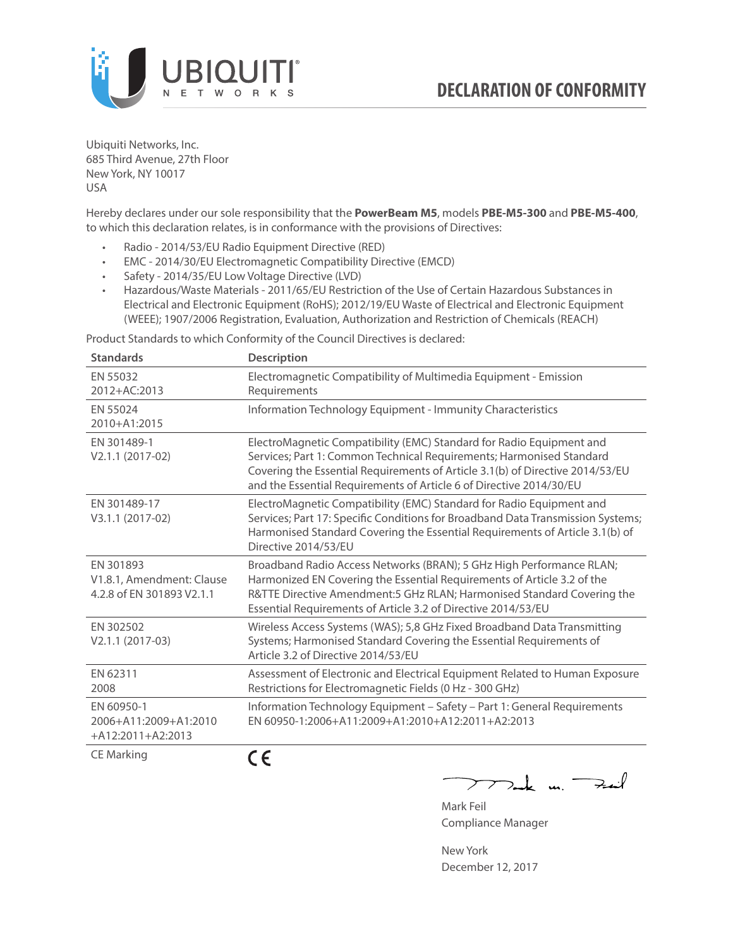

Ubiquiti Networks, Inc. 685 Third Avenue, 27th Floor New York, NY 10017 USA

Hereby declares under our sole responsibility that the **PowerBeam M5**, models **PBE-M5-300** and **PBE-M5-400**, to which this declaration relates, is in conformance with the provisions of Directives:

- Radio 2014/53/EU Radio Equipment Directive (RED)
- EMC 2014/30/EU Electromagnetic Compatibility Directive (EMCD)
- Safety 2014/35/EU Low Voltage Directive (LVD)
- Hazardous/Waste Materials 2011/65/EU Restriction of the Use of Certain Hazardous Substances in Electrical and Electronic Equipment (RoHS); 2012/19/EU Waste of Electrical and Electronic Equipment (WEEE); 1907/2006 Registration, Evaluation, Authorization and Restriction of Chemicals (REACH)

Product Standards to which Conformity of the Council Directives is declared:

| <b>Standards</b>                                                    | <b>Description</b>                                                                                                                                                                                                                                                                                   |
|---------------------------------------------------------------------|------------------------------------------------------------------------------------------------------------------------------------------------------------------------------------------------------------------------------------------------------------------------------------------------------|
| EN 55032<br>2012+AC:2013                                            | Electromagnetic Compatibility of Multimedia Equipment - Emission<br>Requirements                                                                                                                                                                                                                     |
| EN 55024<br>2010+A1:2015                                            | Information Technology Equipment - Immunity Characteristics                                                                                                                                                                                                                                          |
| EN 301489-1<br>V2.1.1 (2017-02)                                     | ElectroMagnetic Compatibility (EMC) Standard for Radio Equipment and<br>Services; Part 1: Common Technical Requirements; Harmonised Standard<br>Covering the Essential Requirements of Article 3.1(b) of Directive 2014/53/EU<br>and the Essential Requirements of Article 6 of Directive 2014/30/EU |
| EN 301489-17<br>V3.1.1 (2017-02)                                    | ElectroMagnetic Compatibility (EMC) Standard for Radio Equipment and<br>Services; Part 17: Specific Conditions for Broadband Data Transmission Systems;<br>Harmonised Standard Covering the Essential Requirements of Article 3.1(b) of<br>Directive 2014/53/EU                                      |
| EN 301893<br>V1.8.1, Amendment: Clause<br>4.2.8 of EN 301893 V2.1.1 | Broadband Radio Access Networks (BRAN); 5 GHz High Performance RLAN;<br>Harmonized EN Covering the Essential Requirements of Article 3.2 of the<br>R&TTE Directive Amendment:5 GHz RLAN; Harmonised Standard Covering the<br>Essential Requirements of Article 3.2 of Directive 2014/53/EU           |
| EN 302502<br>$V2.1.1 (2017-03)$                                     | Wireless Access Systems (WAS); 5,8 GHz Fixed Broadband Data Transmitting<br>Systems; Harmonised Standard Covering the Essential Requirements of<br>Article 3.2 of Directive 2014/53/EU                                                                                                               |
| EN 62311<br>2008                                                    | Assessment of Electronic and Electrical Equipment Related to Human Exposure<br>Restrictions for Electromagnetic Fields (0 Hz - 300 GHz)                                                                                                                                                              |
| EN 60950-1<br>2006+A11:2009+A1:2010<br>$+A12:2011+A2:2013$          | Information Technology Equipment - Safety - Part 1: General Requirements<br>EN 60950-1:2006+A11:2009+A1:2010+A12:2011+A2:2013                                                                                                                                                                        |
| CTMA                                                                | $\epsilon$                                                                                                                                                                                                                                                                                           |

CE Marking

CE

 $2$ the un Fail

Mark Feil Compliance Manager

New York December 12, 2017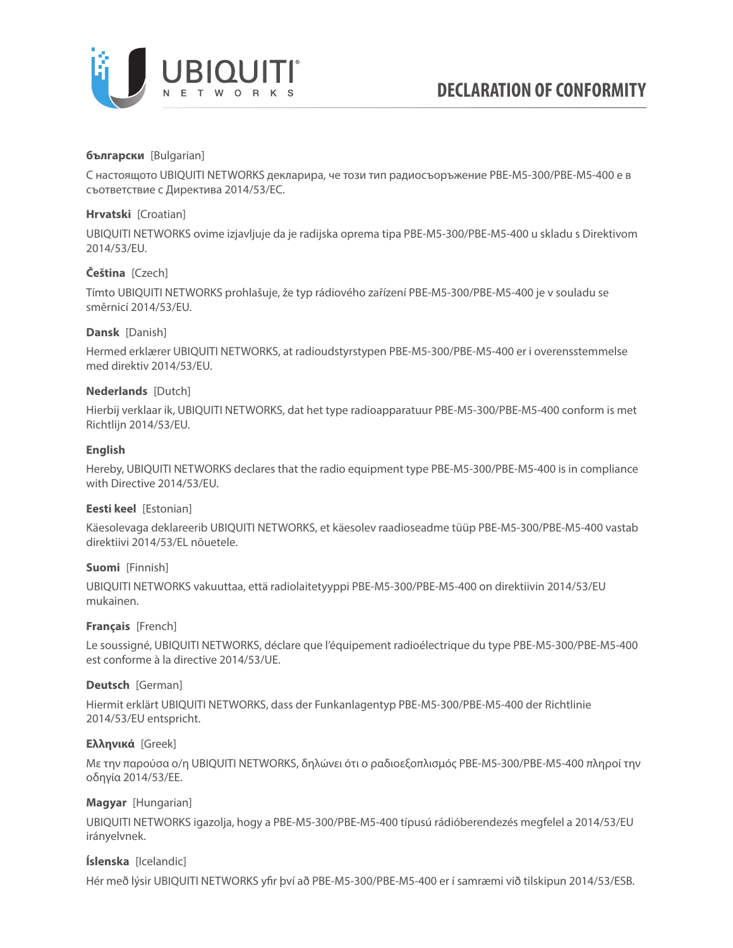

# **български** [Bulgarian]

С настоящото UBIQUITI NETWORKS декларира, че този тип радиосъоръжение PBE-M5-300/PBE-M5-400 е в съответствие с Директива 2014/53/ЕС.

# **Hrvatski** [Croatian]

UBIQUITI NETWORKS ovime izjavljuje da je radijska oprema tipa PBE-M5-300/PBE-M5-400 u skladu s Direktivom 2014/53/EU.

# **Čeština** [Czech]

Tímto UBIQUITI NETWORKS prohlašuje, že typ rádiového zařízení PBE-M5-300/PBE-M5-400 je v souladu se směrnicí 2014/53/EU.

# **Dansk** [Danish]

Hermed erklærer UBIQUITI NETWORKS, at radioudstyrstypen PBE-M5-300/PBE-M5-400 er i overensstemmelse med direktiv 2014/53/EU.

# **Nederlands** [Dutch]

Hierbij verklaar ik, UBIQUITI NETWORKS, dat het type radioapparatuur PBE-M5-300/PBE-M5-400 conform is met Richtlijn 2014/53/EU.

# **English**

Hereby, UBIQUITI NETWORKS declares that the radio equipment type PBE-M5-300/PBE-M5-400 is in compliance with Directive 2014/53/EU.

# **Eesti keel** [Estonian]

Käesolevaga deklareerib UBIQUITI NETWORKS, et käesolev raadioseadme tüüp PBE-M5-300/PBE-M5-400 vastab direktiivi 2014/53/EL nõuetele.

# **Suomi** [Finnish]

UBIQUITI NETWORKS vakuuttaa, että radiolaitetyyppi PBE-M5-300/PBE-M5-400 on direktiivin 2014/53/EU mukainen.

# **Français** [French]

Le soussigné, UBIQUITI NETWORKS, déclare que l'équipement radioélectrique du type PBE-M5-300/PBE-M5-400 est conforme à la directive 2014/53/UE.

# **Deutsch** [German]

Hiermit erklärt UBIQUITI NETWORKS, dass der Funkanlagentyp PBE-M5-300/PBE-M5-400 der Richtlinie 2014/53/EU entspricht.

# **Ελληνικά** [Greek]

Με την παρούσα ο/η UBIQUITI NETWORKS, δηλώνει ότι ο ραδιοεξοπλισμός PBE-M5-300/PBE-M5-400 πληροί την οδηγία 2014/53/ΕΕ.

# **Magyar** [Hungarian]

UBIQUITI NETWORKS igazolja, hogy a PBE-M5-300/PBE-M5-400 típusú rádióberendezés megfelel a 2014/53/EU irányelvnek.

# **Íslenska** [Icelandic]

Hér með lýsir UBIQUITI NETWORKS yfir því að PBE-M5-300/PBE-M5-400 er í samræmi við tilskipun 2014/53/ESB.